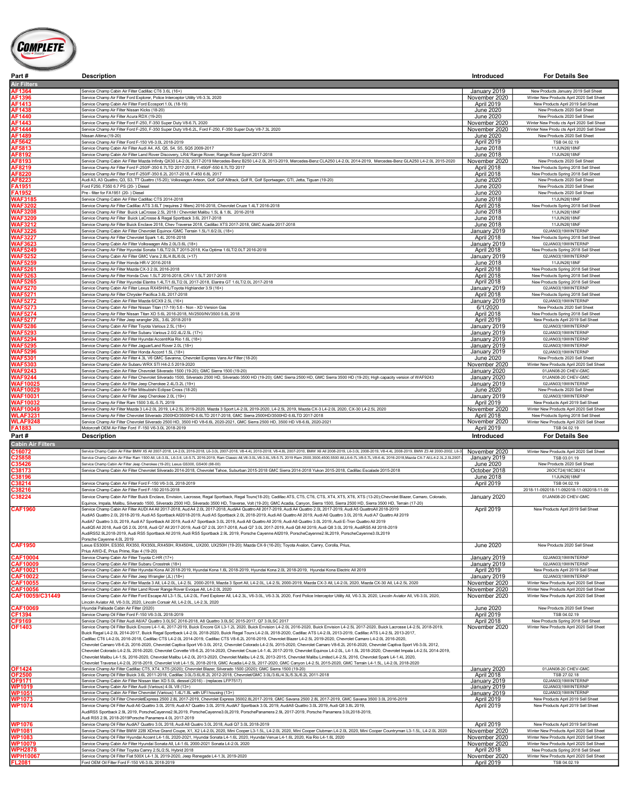

| Part #          | Description                                                                                                                                                                               | Introduced        | <b>For Details See</b>                     |
|-----------------|-------------------------------------------------------------------------------------------------------------------------------------------------------------------------------------------|-------------------|--------------------------------------------|
| Air Filters     |                                                                                                                                                                                           |                   |                                            |
| AF1364          | Service Champ Cabin Air Filter Cadillac CT6 3.6L (16+)                                                                                                                                    | January 2019      | New Products January 2019 Sell Sheet       |
| AF1396          | Service Champ Air Filter Ford Explorer, Police Interceptor Utility V6-3.3L 2020                                                                                                           | November 2020     | Winter New Products April 2020 Sell Sheet  |
| AF1413          | Service Champ Cabin Air Filter Ford Ecosport 1.0L (18-19)                                                                                                                                 | April 2019        | New Products April 2019 Sell Sheet         |
| AF1438          | Service Champ Air Filter Nissan Kicks (18-20)                                                                                                                                             | June 2020         | New Products 2020 Sell Sheet               |
| AF1440          | Service Champ Air Filter Acura RDX (19-20)                                                                                                                                                | June 2020         | New Products 2020 Sell Sheet               |
| AF1443          | Service Champ Air Filter Ford F-250, F-350 Super Duty V8-6.7L 2020                                                                                                                        | November 2020     | Winter New Produ cts April 2020 Sell Sheet |
| AF1444          | Service Champ Air Filter Ford F-250, F-350 Super Duty V8-6.2L, Ford F-250, F-350 Super Duty V8-7.3L 2020                                                                                  | November 2020     | Winter New Produ cts April 2020 Sell Sheet |
| AF1489          | Nissan Altima (19-20)                                                                                                                                                                     | <b>June 2020</b>  | New Products 2020 Sell Sheet               |
| AF5642          | Service Champ Air Filter Ford F-150 V6-3.0L 2018-2019                                                                                                                                     | April 2019        | TSB 04.02.19                               |
| AF5813          | Service Champ Cabin Air Filter Audi A4, A5, Q5, S4, S5, SQ5 2009-2017                                                                                                                     | June 2018         | 11JUN26 18NF                               |
| AF8192          | Service Champ Cabin Air Filter Land Rover Discovery, LR4/ Range Rover, Range Rover Sport 2017-2018                                                                                        | June 2018         | 11JUN26 18NF                               |
| AF8193          | Service Champ Cabin Air Filter Mazda Infinity QX30 L4-2.0L 2017-2019 Mercedes-Benz B250 L4-2.0L 2013-2019, Mercedes-Benz CLA250 L4-2.0L 2014-2019, Mercedes-Benz GLA250 L4-2.0L 2015-2020 | November 2020     | New Products 2020 Sell Sheet               |
| AF8219          | Service Champ Air Filter Ford F-250/F-350 6.7LTD 2017-2018, F-450/F-550 6.7LTD 2017                                                                                                       | April 2018        | New Products Spring 2018 Sell Sheet        |
| AF8220          | Service Champ Air Filter Ford F-250/F-350 6.2L 2017-2018, F-450 6.8L 2017                                                                                                                 | April 2018        | New Products Spring 2018 Sell Sheet        |
| AF8223          | Audi A3, A3 Quattro, Q3, S3, TT Quattro (15-20); Volkswagen Arteon, Golf, Golf Alltrack, Golf R, Golf Sportwagen, GTI, Jetta, Tiguan (19-20)                                              | June 2020         | New Products 2020 Sell Sheet               |
| <b>FA1951</b>   | Ford F250, F350 6.7 PS (20-) Diesel                                                                                                                                                       | June 2020         | New Products 2020 Sell Sheet               |
| <b>FA1952</b>   | Pre - filter for FA1951 (20-) Diesel                                                                                                                                                      | June 2020         | New Products 2020 Sell Sheet               |
| <b>WAF3185</b>  | Service Champ Cabin Air Filter Cadillac CTS 2014-2018                                                                                                                                     | June 2018         | 11JUN26 18NF                               |
| <b>WAF3202</b>  | Service Champ Air Filter Cadillac ATS 3.6LT (requires 2 filters) 2016-2018, Chevrolet Cruze 1.4LT 2016-2018                                                                               | April 2018        | New Products Spring 2018 Sell Sheet        |
| <b>WAF3208</b>  | Service Champ Air Filter Buick LaCrosse 2.5L 2018 / Chevrolet Malibu 1.5L & 1.8L 2016-2018                                                                                                | June 2018         | 11JUN26 18NF                               |
| <b>WAF3209</b>  | Service Champ Air Filter Buick LaCrosse & Regal Sportback 3.6L 2017-2018                                                                                                                  | June 2018         | 11JUN26 18NF                               |
| <b>WAF3212</b>  | Service Champ Air Filter Buick Enclave 2018, Chev Traverse 2018, Cadillac XTS 2017-2018, GMC Acadia 2017-2018                                                                             | June 2018         | 11JUN26 18NF                               |
| <b>WAF3226</b>  | Service Champ Cabin Air Filter Chevrolet Equinox /GMC Terrain 1.5L/1.6/2.0L (18+)                                                                                                         | January 2019      | 02JAN03 19WINTERNP                         |
| <b>WAF3227</b>  | Service Champ Air Filter Chevrolet Spark 1.4L 2016-2018                                                                                                                                   | April 2018        | New Products Spring 2018 Sell Sheet        |
| <b>WAF3623</b>  | Service Champ Cabin Air Filter Volkswagen Alts 2.0L/3.6L (18+)                                                                                                                            | January 2019      | 02JAN03 19WINTERNP                         |
| <b>WAF5249</b>  | Service Champ Air Filter Hyundai Sonata 1.6LT/2.0LT 2015-2018. Kia Optima 1.6LT/2.0LT 2016-2018                                                                                           | April 2018        | New Products Spring 2018 Sell Sheet        |
| <b>WAF5252</b>  | Service Champ Cabin Air Filter GMC Vans 2.8L/4.8L/6.0L (+17)                                                                                                                              | January 2019      | 02JAN03 19WINTERNP                         |
| <b>WAF5259</b>  | Service Champ Air Filter Honda HR-V 2016-2018                                                                                                                                             | June 2018         | 11JUN26 18NF                               |
| <b>WAF5261</b>  | Service Champ Air Filter Mazda CX-3 2.0L 2016-2018                                                                                                                                        | April 2018        | New Products Spring 2018 Sell Sheet        |
| <b>WAF5263</b>  | Service Champ Air Filter Honda Civic 1.5LT 2016-2018, CR-V 1.5LT 2017-2018                                                                                                                | April 2018        | New Products Spring 2018 Sell Sheet        |
| <b>WAF5265</b>  | Service Champ Air Filter Hyundai Elantra 1.4LT/1.6LT/2.0L 2017-2018, Elantra GT 1.6LT/2.0L 2017-2018                                                                                      | April 2018        | New Products Spring 2018 Sell Sheet        |
| <b>WAF5270</b>  | Service Champ Cabin Air Filter Lexus RX45H/HL/Toyota Highlander 3.5I (16+)                                                                                                                | January 2019      | 02JAN03I19WINTERNP                         |
| <b>WAF5271</b>  | Service Champ Air Filter Chrysler Pacifica 3.6L 2017-2018                                                                                                                                 | April 2018        | New Products Spring 2018 Sell Sheet        |
| <b>WAF5272</b>  | Service Champ Cabin Air Filter Mazda 6/CX9 2.5L (16+)                                                                                                                                     | January 2019      | 02JAN03 19WINTERNP                         |
| <b>WAF5273</b>  | Service Champ Cabin Air Filter Nissan Titan (17-19) 5.6 - Non - XD Version Gas                                                                                                            | 6/1/2020          | New Products 2020 Sell Sheet               |
| <b>WAF5274</b>  | Service Champ Air Filter Nissan Titan XD 5.6L 2016-2018, NV2500/NV3500 5.6L 2018                                                                                                          | April 2018        | New Products Spring 2018 Sell Sheet        |
| <b>WAF5277</b>  | Service Champ Air Filter Jeep wrangler 20L, 3.6L 2018-2019                                                                                                                                | April 2019        | New Products April 2019 Sell Sheet         |
| <b>WAF5286</b>  | Service Champ Cabin Air Filter Toyota Various 2.5L (18+)                                                                                                                                  | January 2019      | 02JAN03 19WINTERNP                         |
| <b>WAF5293</b>  | Service Champ Cabin Air Filter Subaru Various 2.0/2.4L/2.5L (17+)                                                                                                                         | January 2019      | 02JAN03I19WINTERNP                         |
| <b>WAF5294</b>  | Service Champ Cabin Air Filter Hyundai Accent/Kia Rio 1.6L (18+)                                                                                                                          | January 2019      | 02JAN03 19WINTERNP                         |
| <b>WAF5295</b>  | Service Champ Cabin Air Filter Jaguar/Land Rover 2.0L (18+)                                                                                                                               | January 2019      | 02JAN03 19WINTERNP                         |
| <b>WAF5296</b>  | Service Champ Cabin Air Filter Honda Accord 1.5L (18+)                                                                                                                                    | January 2019      | 02JAN03 19WINTERNP                         |
| <b>WAF5301</b>  | Service Champ Cabin Air Filter 4.3L V6 GMC Savanna, Chevrolet Express Vans Air Filter (18-20)                                                                                             | June 2020         | New Products 2020 Sell Sheet               |
| <b>WAF5303</b>  | Service Champ Cabin Air Subaru WRX STI H4-2.5 2019-2020                                                                                                                                   | November 2020     | Winter New Products April 2020 Sell Sheet  |
| <b>WAF9243</b>  | Service Champ Cabin Air Filter Chevrolet Silverado 1500 (19-20); GMC Sierra 1500 (19-20)                                                                                                  | January 2020      | 01JAN08-20 CHEV-GMC                        |
| <b>WAF9244</b>  | Service Champ Cabin Air Filter Chevrolet Silverado 1500, Silverado 2500 HD, Silverado 3500 HD (19-20); GMC Sierra 2500 HD, GMC Sierra 3500 HD (19-20); High capacity version of WAF9243   | January 2020      | 01JAN08-20 CHEV-GMC                        |
| <b>WAF10025</b> | Service Champ Cabin Air Filter Jeep Cherokee 2.4L/3.2L (19+)                                                                                                                              | January 2019      | 02JAN03I19WINTERNP                         |
| <b>WAF10029</b> | Service Champ Cabin Air Filter Mitsubishi Eclipse Cross (18-20)                                                                                                                           | June 2020         | New Products 2020 Sell Sheet               |
| <b>WAF10031</b> | Service Champ Cabin Air Filter Jeep Cherokee 2.0L (19+)                                                                                                                                   | January 2019      | 02JAN03 19WINTERNP                         |
| <b>WAF10032</b> | Service Champ Air Filter Ram 1500 3.6L-5.7L 2019                                                                                                                                          | April 2019        | New Products April 2019 Sell Sheet         |
| <b>WAF10049</b> | Service Champ Air Filter Mazda 3 L4-2.0L 2019, L4-2.5L 2019-2020, Mazda 3 Sport L4-2.0L 2019-2020, L4-2.5L 2019, Mazda CX-3 L4-2.0L 2020, CX-30 L4-2.5L 2020                              | November 2020     | Winter New Products April 2020 Sell Sheet  |
| <b>WLAF3231</b> | Service Champ Air Filter Chevrolet Silverado 2500HD/3500HD 6.6LTD 2017-2018. GMC Sierra 2500HD/3500HD 6.6LTD 2017-2018                                                                    | <b>April 2018</b> | New Products Spring 2018 Sell Sheet        |
| <b>WLAF9248</b> | Service Champ Air Filter Chevrolet Silverado 2500 HD, 3500 HD V8-6.6L 2020-2021, GMC Sierra 2500 HD, 3500 HD V8-6.6L 2020-2021                                                            | November 2020     | Winter New Products April 2020 Sell Sheet  |
| <b>FA1883</b>   | Motorcraft OEM Air Filter Ford F-150 V6-3.0L 2018-2019                                                                                                                                    | April 2019        | TSB 04.02.19                               |

Cabin Air 9 Service Champ Cabin Air Filter BMW X5 AII 2007-2018, U-2.01. 2019-2018, U-3.01. 2007-2018, V8-44. 2010-2018, V8-4B. 2007-2019, BMW X8 AII 2008-2019, U-44. 2008-2019, U-44. 2008-2019, U-44. 2008-2019, BAW Z3 AII 2009-20 C25858 Service Champ Cabin Air Filter Ram 1500 All, L6-3.0L, L6-3.6, L6-5.7L 2016-2019, Ram Classic All,V6-3.0L,V6-3.6L,V8-5.7L 2019 Ram 2500,3500,4500,5500 All,L6-6-7L,V8-5.7L,V8-6.4L 2016-2018,Mazda CX-7 All,L4-2.3L,2.5L2007-2012 January 2019 TSB 03.01.19 Service Champ Cabin Air Filter Jeep Cherokee (19-20); Lexus GS300, GS400 (98-00)<br>1990/13 Service Champ Cabin Air Filter Chevrolet Silverado 2014-2018, Chevrolet Tahoe, Suburban 2015-2018 GMC Sierra 2014-2018 Yukon 2015-201  $\textsf{C38196} \textsf{ }$  June 2018  $\textsf{ }$  11JUN26|18NF nvice Champ Cabin Air Filter Ford F-150 V6-3.0L 2018-2019 **April 2019** TSB 04.02.19<br>- Note Champ Cabin Air Filter Ford F-150 2015-2018<br>- 2018-11-092018-11-092018-11-092018-11-092018-11-092018-11-09 Service Champ Cabin Air Filter Ford F-150 2015-2018 And Filter Bord Envision, Lacrosse, Regal Sportback, Regal Tounx(18-20); Cadillac ATS, CT6, CT6, CT6, CT6, XT4, XT5, XT6, XT5 (13-20);Chevrolet Blazer, Camaro, Colorado, vice Champ Cabin Air Filter Buick Enclave, Envision, Lacrosse, Regal Sportback, Regal Tourx(18-20); Cadillac ATS, CT5, CT6, CT6, CT5, XT4, XT5, XT6, XT5 (13-20);Chevrolet Blazer, Camaro, Colorado, Equinox, Impala, Malibu, Silverado 1500, Silverado 2500 HD, Silverado 3500 HD, Traverse, Volt (19-20); GMC Acadia, Canyon, Sierra 1500, Sierra 2500 HD, Sierra 3500 HD, Terrain (17-20) CAF1960 Service Champ Cabin Air Filter AUDI A4 All 2017-2018, Aud A4 2.0L 2017-2019, AudiA4 Quattro All 2017-2019, Audi A4 Quattro All 2017-2019, Audi A4 Quattro All 2017-2019 April 2019 April 2019 New Products April 2019 AudiA5 Quattro 2.0L 2018-2019, Audi A5 Sportback All2018-2019, Audi A5 Sportback 2.0L 2018-2019, Audi A6 Quattro All 2019, Audi A6 Quattro 3.0L 2019, Audi A7 Quattro All 2019 AudiA7 Quattro 3.0L 2019, Audi A7 Sportback All 2019, Audi A7 Sportback 3.0L 2019, Audi A8 Quattro All 2019, Audi A8 Quattro 3.0L 2019, Audi E-Tron Quattro All 2019 AudiQ5 All 2018, Audi Q5 2.0L 2018, Audi Q7 All 2017-2019, Audi Q7 2.0L 2017-2018, Audi Q7 3.0L 2017-2019, Audi Q8 All 2019, Audi Q8 3.0L 2019, AudiRS5 All 2018-2019 AudiRS52.9L2018-2019, Audi RS5 Sportback All 2019, Audi RS5 Sportback 2.9L 2019, Porsche Cayenne All2019, PorscheCayenne2.9L2019, PorscheCayenne3.0L2019 Porsche Cayenne 4.0L 2019<br>CAF1950 Leaus ES300H, ES350, RX350, RX350L,RX450H, RX450HL, UX200, UX250H (19-20); Mazda CX-9 (16-20); Toyota Avalon, Camry, Corolla, Prius,<br>Prius AWD-E, Prius Prime, Rav 4 (19-20) Prius AWD-E, Pu CAF10004 Service Champ Cabin Air Filter Toyota C-HR (17+)<br>CAF10009 Service Champ Cabin Air Filter Subtanu Crosstrek (18+)<br>CAF100021 Service Champ Cabin Air Filter Hyundai Kona AI 2013-2019, Hyundai Kona 2.01.2013-2019, H Service Champ Cabin Air Filter Jeep Wrangler (JL) (18+) . [18: Air September 2014 10: Although Service Champ Cabin Air Filter Jeep Wrangler (JL) (18+) .<br>CAF10055 Service Champ Cabin Air Filter Mazda 3 Alt, 4-2.5L, 2000-20 ART10055 Service Champ Cabin Air Filter Mazda 3 All, L4-2.0L, L4-2.5L 2000-2019, Mazda 3 Sport All, L4-2.0L, 2000-2019, Mazda 2X-3 All, L4-2.0L, 2020, Mazda CX-3 All, L4-2.5L 2020, Mazda CX-3 All, L4-2.5L 2020, Mazda CX-3 Lincoln Aviator All, V6-3.0L 2020, Lincoln Corsair All, L4-2.0L, L4-2.3L 2020 CAF10069 Hyundai Palisade Cabin Air Filter (2020) **June 2020 Hyundai Palisade Cabin Air Filter (2020)** New Products 2020 Sell Sheet Service Champ Oil Filter Ford F-150 V6-3.0L 2018-2019<br>
Service Champ Oil Filter Audi A6/A7 Quattro 3.0LSC 2016-2018, A8 Quattro 3.0LSC 2015-2017, Q7 3.0LSC 2017<br>
Service Champ Oil Filter Audi A6/A7 Quattro 3.0LSC 2019, Bui Cadillac CT6 L4-2.0L 2016-2018, Cadillac CTS L4-2.0L 2014-2019, Cadillac CTS V8-6.2L 2016-2019, Chevrolet Blazer L4-2.5L 2019-2020, Chevrolet Camaro L4-2.0L 2016-2020, Chevrolet Camaro V8-6.2L 2016-2020, Chevrolet Captiva Sport V6-3.0L 2012, Chevrolet Colorado L4-2.5L 2016-2020, Chevrolet Captiva Sport V6-3.0L 2012, Chevrolet Captiva Sport V6-3.0L 2012,<br>Chevrolet Mariaro L4-2.5L 2016-202 Chevrolet Traverse L4-2.0L 2018-2019, Chevrolet Volt L4-1.5L 2018-2019, GMC Acadia L4-2.5L 2017-2020, GMC Grayon L4-2.5L 2015-2020, GMC Terrain L4-1.5L, L4-2.0L 2018-2020<br>1992-200 Service Champ Oil Filter Cadillac CTS, XT4 WP1019 Service Champ Cabin Air Filter Audi (Various) 4.0LV8 (13+)<br>MP1051 Service Champ Cabin Air Filter Chevrolet (Various) 1.4L1.1.8L with UFI housing (13+)<br>MP1073 Service Champ Oil Filter Chevrolet⊑xxress 2500 2.8L 2017 AudiRS5 Sportback 2.9L 2019, PorscheCayenne2.9L2019, PorscheCayenne3.0L2019, PorschePanamera 2.9L 2017-2019, Porsche Panamera 3.0L2018-2019,<br>Audi RS5 2.9L 2018-2019Porsche Panamera 4.0L 2017-2019 Service Champ Oil Filter AudiA7 Quattro 3.0L 2018, Quatd 3.0L 2018, Audi Q7 3.0L 2018-2019<br>Service Champ Oil Filter BMW 2281 XDrive Grand Coupe, X1, X2 L4-2.0L 2020, Mini Cooper Lourd Couper Clubman L4<br>Service Champ Oil Fi MP1081 Service Champ Oil Filter BMW 2281 XDrive Grand Coupe, X1, X2 L4-2.0L 2020, Mini Cooper L3-1.5L, L4-2.0L 2020, Mini Cooper L3-1.5L, L4-2.0L 2020, Mini Cooper Countyman L3-1.5L, L4-2.0L 2020 November 2020 Winter New P COM Service Champ Oli Filter Hyundai Accent L4-1.6L 2020-2021, Hyundai Sonata L4-1.6L 2020, Hyundai Venue L4-1.6L 2020, Hyundai Venue L4-1.6L 2020, Ha Rio L4-1.6L 2020<br>COM Service Champ Cabin Air Filter Hyundai Sonata All Service Champ Oil Filter Toyota Camry 2.5L/2.5L Hybrid 2018 November 2020 Winter Fiat 500X L4-1.3L 2019-2020, Jeep Renegade L4-1.3L 2019-2020<br>- Group OEM Oil Filter Fiat 500X L4-1.3L 2019-2020, Jeep Renegade L4-1.3L 2019-2020<br>- Group OEM Oil Filter Fiat 500X 2019-2019 November 2020 Ford OEM Oil Filter Ford F-150 V6-3.0L 2018-2019

Part # Description Description Description Description Description Description Description Description Details See